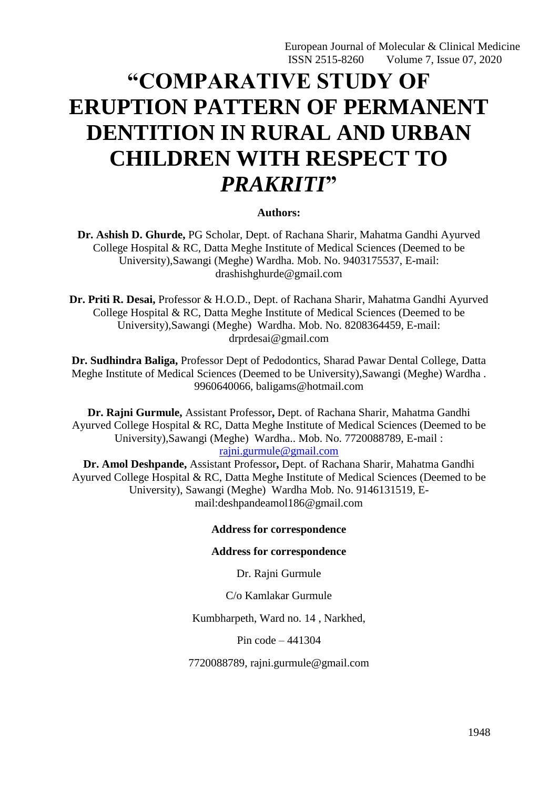# **"COMPARATIVE STUDY OF ERUPTION PATTERN OF PERMANENT DENTITION IN RURAL AND URBAN CHILDREN WITH RESPECT TO**  *PRAKRITI***"**

#### **Authors:**

**Dr. Ashish D. Ghurde,** PG Scholar, Dept. of Rachana Sharir, Mahatma Gandhi Ayurved College Hospital & RC, Datta Meghe Institute of Medical Sciences (Deemed to be University),Sawangi (Meghe) Wardha. Mob. No. 9403175537, E-mail: [drashishghurde@gmail.com](mailto:drashishghurde@gmail.com)

**Dr. Priti R. Desai,** Professor & H.O.D., Dept. of Rachana Sharir, Mahatma Gandhi Ayurved College Hospital & RC, Datta Meghe Institute of Medical Sciences (Deemed to be University),Sawangi (Meghe) Wardha. Mob. No. 8208364459, E-mail: [drprdesai@gmail.com](mailto:drprdesai@gmail.com)

**Dr. Sudhindra Baliga,** Professor Dept of Pedodontics, Sharad Pawar Dental College, Datta Meghe Institute of Medical Sciences (Deemed to be University),Sawangi (Meghe) Wardha . 9960640066, baligams@hotmail.com

**Dr. Rajni Gurmule,** Assistant Professor**,** Dept. of Rachana Sharir, Mahatma Gandhi Ayurved College Hospital & RC, Datta Meghe Institute of Medical Sciences (Deemed to be University),Sawangi (Meghe) Wardha.. Mob. No. 7720088789, E-mail : [rajni.gurmule@gmail.com](mailto:rajni.gurmule@gmail.com)

**Dr. Amol Deshpande,** Assistant Professor**,** Dept. of Rachana Sharir, Mahatma Gandhi Ayurved College Hospital & RC, Datta Meghe Institute of Medical Sciences (Deemed to be University), Sawangi (Meghe) Wardha Mob. No. 9146131519, Email:deshpandeamol18[6@gmail.com](mailto:rajni.gurmule@gmail.com)

#### **Address for correspondence**

#### **Address for correspondence**

Dr. Rajni Gurmule

#### C/o Kamlakar Gurmule

Kumbharpeth, Ward no. 14 , Narkhed,

Pin code – 441304

7720088789, rajni.gurmule@gmail.com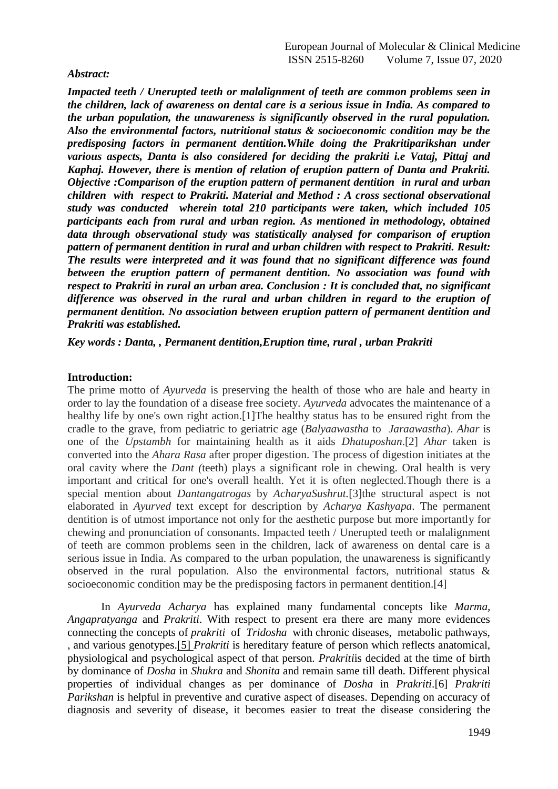# *Abstract:*

*Impacted teeth / Unerupted teeth or malalignment of teeth are common problems seen in the children, lack of awareness on dental care is a serious issue in India. As compared to the urban population, the unawareness is significantly observed in the rural population. Also the environmental factors, nutritional status & socioeconomic condition may be the predisposing factors in permanent dentition.While doing the Prakritiparikshan under various aspects, Danta is also considered for deciding the prakriti i.e Vataj, Pittaj and Kaphaj. However, there is mention of relation of eruption pattern of Danta and Prakriti. Objective :Comparison of the eruption pattern of permanent dentition in rural and urban children with respect to Prakriti. Material and Method : A cross sectional observational study was conducted wherein total 210 participants were taken, which included 105 participants each from rural and urban region. As mentioned in methodology, obtained data through observational study was statistically analysed for comparison of eruption pattern of permanent dentition in rural and urban children with respect to Prakriti. Result: The results were interpreted and it was found that no significant difference was found between the eruption pattern of permanent dentition. No association was found with respect to Prakriti in rural an urban area. Conclusion : It is concluded that, no significant difference was observed in the rural and urban children in regard to the eruption of permanent dentition. No association between eruption pattern of permanent dentition and Prakriti was established.*

*Key words : Danta, , Permanent dentition,Eruption time, rural , urban Prakriti*

# **Introduction:**

The prime motto of *Ayurveda* is preserving the health of those who are hale and hearty in order to lay the foundation of a disease free society. *Ayurveda* advocates the maintenance of a healthy life by one's own right action.<sup>[1]</sup>The healthy status has to be ensured right from the cradle to the grave, from pediatric to geriatric age (*Balyaawastha* to *Jaraawastha*). *Ahar* is one of the *Upstambh* for maintaining health as it aids *Dhatuposhan*.[2] *Ahar* taken is converted into the *Ahara Rasa* after proper digestion. The process of digestion initiates at the oral cavity where the *Dant (*teeth) plays a significant role in chewing. Oral health is very important and critical for one's overall health. Yet it is often neglected.Though there is a special mention about *Dantangatrogas* by *AcharyaSushrut.*[3]the structural aspect is not elaborated in *Ayurved* text except for description by *Acharya Kashyapa*. The permanent dentition is of utmost importance not only for the aesthetic purpose but more importantly for chewing and pronunciation of consonants. Impacted teeth / Unerupted teeth or malalignment of teeth are common problems seen in the children, lack of awareness on dental care is a serious issue in India. As compared to the urban population, the unawareness is significantly observed in the rural population. Also the environmental factors, nutritional status & socioeconomic condition may be the predisposing factors in permanent dentition.[4]

In *Ayurveda Acharya* has explained many fundamental concepts like *Marma, Angapratyanga* and *Prakriti*. With respect to present era there are many more evidences connecting the concepts of *prakriti* of *Tridosha* with chronic diseases, metabolic pathways, , and various genotypes.[5] *Prakriti* is hereditary feature of person which reflects anatomical, physiological and psychological aspect of that person. *Prakriti*is decided at the time of birth by dominance of *Dosha* in *Shukra* and *Shonita* and remain same till death. Different physical properties of individual changes as per dominance of *Dosha* in *Prakriti*.[6] *Prakriti Parikshan* is helpful in preventive and curative aspect of diseases. Depending on accuracy of diagnosis and severity of disease, it becomes easier to treat the disease considering the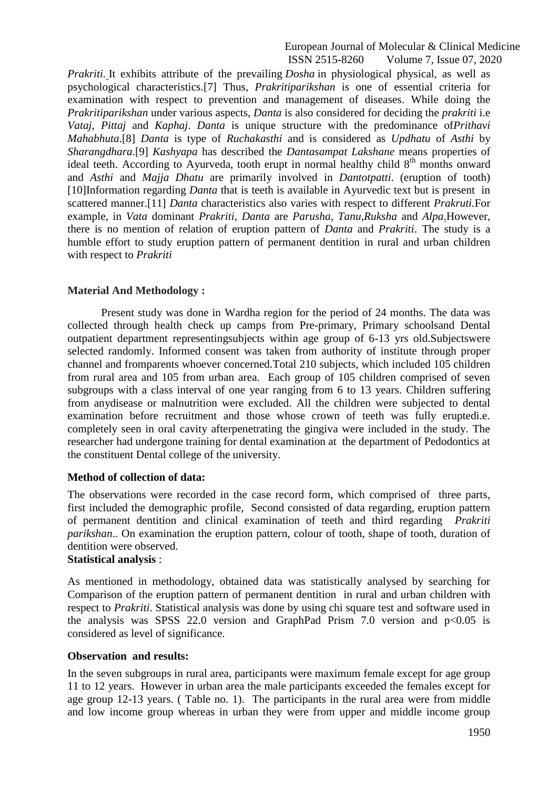*Prakriti.* It exhibits attribute of the prevailing *Dosha* in physiological physical, as well as psychological characteristics.[7] Thus, *Prakritiparikshan* is one of essential criteria for examination with respect to prevention and management of diseases. While doing the *Prakritiparikshan* under various aspects, *Danta* is also considered for deciding the *prakriti* i.e *Vataj*, *Pittaj* and *Kaphaj*. *Danta* is unique structure with the predominance of*Prithavi Mahabhuta*.[8] *Danta* is type of *Ruchakasthi* and is considered as *Updhatu* of *Asthi* by *Sharangdhara*.[9] *Kashyapa* has described the *Dantasampat Lakshane* means properties of ideal teeth. According to Ayurveda, tooth erupt in normal healthy child  $8<sup>th</sup>$  months onward and *Asthi* and *Majja Dhatu* are primarily involved in *Dantotpatti*. (eruption of tooth) [10]Information regarding *Danta* that is teeth is available in Ayurvedic text but is present in scattered manner.[11] *Danta* characteristics also varies with respect to different *Prakruti.*For example, in *Vata* dominant *Prakriti, Danta* are *Parusha, Tanu,Ruksha* and *Alpa*.However, there is no mention of relation of eruption pattern of *Danta* and *Prakriti*. The study is a humble effort to study eruption pattern of permanent dentition in rural and urban children with respect to *Prakriti*

# **Material And Methodology :**

 Present study was done in Wardha region for the period of 24 months. The data was collected through health check up camps from Pre-primary, Primary schoolsand Dental outpatient department representingsubjects within age group of 6-13 yrs old.Subjectswere selected randomly. Informed consent was taken from authority of institute through proper channel and fromparents whoever concerned.Total 210 subjects, which included 105 children from rural area and 105 from urban area. Each group of 105 children comprised of seven subgroups with a class interval of one year ranging from 6 to 13 years. Children suffering from anydisease or malnutrition were excluded. All the children were subjected to dental examination before recruitment and those whose crown of teeth was fully eruptedi.e. completely seen in oral cavity afterpenetrating the gingiva were included in the study. The researcher had undergone training for dental examination at the department of Pedodontics at the constituent Dental college of the university.

#### **Method of collection of data:**

The observations were recorded in the case record form, which comprised of three parts, first included the demographic profile, Second consisted of data regarding, eruption pattern of permanent dentition and clinical examination of teeth and third regarding *Prakriti parikshan*.. On examination the eruption pattern, colour of tooth, shape of tooth, duration of dentition were observed.

# **Statistical analysis** :

As mentioned in methodology, obtained data was statistically analysed by searching for Comparison of the eruption pattern of permanent dentition in rural and urban children with respect to *Prakriti*. Statistical analysis was done by using chi square test and software used in the analysis was SPSS 22.0 version and GraphPad Prism 7.0 version and  $p<0.05$  is considered as level of significance.

#### **Observation and results:**

In the seven subgroups in rural area, participants were maximum female except for age group 11 to 12 years. However in urban area the male participants exceeded the females except for age group 12-13 years. ( Table no. 1). The participants in the rural area were from middle and low income group whereas in urban they were from upper and middle income group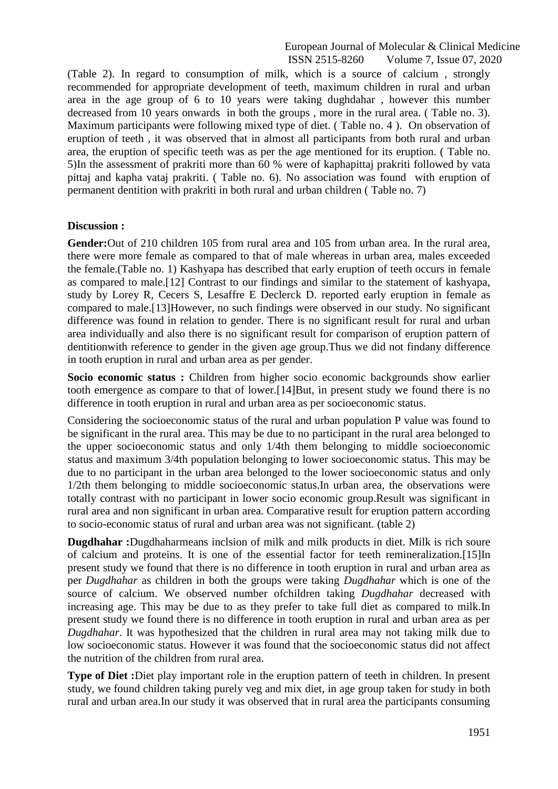(Table 2). In regard to consumption of milk, which is a source of calcium , strongly recommended for appropriate development of teeth, maximum children in rural and urban area in the age group of 6 to 10 years were taking dughdahar , however this number decreased from 10 years onwards in both the groups , more in the rural area. ( Table no. 3). Maximum participants were following mixed type of diet. ( Table no. 4 ). On observation of eruption of teeth , it was observed that in almost all participants from both rural and urban area, the eruption of specific teeth was as per the age mentioned for its eruption. ( Table no. 5)In the assessment of prakriti more than 60 % were of kaphapittaj prakriti followed by vata pittaj and kapha vataj prakriti. ( Table no. 6). No association was found with eruption of permanent dentition with prakriti in both rural and urban children ( Table no. 7)

# **Discussion :**

**Gender:**Out of 210 children 105 from rural area and 105 from urban area. In the rural area, there were more female as compared to that of male whereas in urban area, males exceeded the female.(Table no. 1) Kashyapa has described that early eruption of teeth occurs in female as compared to male.[12] Contrast to our findings and similar to the statement of kashyapa, study by Lorey R, Cecers S, Lesaffre E Declerck D. reported early eruption in female as compared to male.[13]However, no such findings were observed in our study. No significant difference was found in relation to gender. There is no significant result for rural and urban area individually and also there is no significant result for comparison of eruption pattern of dentitionwith reference to gender in the given age group.Thus we did not findany difference in tooth eruption in rural and urban area as per gender.

**Socio economic status :** Children from higher socio economic backgrounds show earlier tooth emergence as compare to that of lower.[14]But, in present study we found there is no difference in tooth eruption in rural and urban area as per socioeconomic status.

Considering the socioeconomic status of the rural and urban population P value was found to be significant in the rural area. This may be due to no participant in the rural area belonged to the upper socioeconomic status and only 1/4th them belonging to middle socioeconomic status and maximum 3/4th population belonging to lower socioeconomic status. This may be due to no participant in the urban area belonged to the lower socioeconomic status and only 1/2th them belonging to middle socioeconomic status.In urban area, the observations were totally contrast with no participant in lower socio economic group.Result was significant in rural area and non significant in urban area. Comparative result for eruption pattern according to socio-economic status of rural and urban area was not significant. (table 2)

**Dugdhahar :**Dugdhaharmeans inclsion of milk and milk products in diet. Milk is rich soure of calcium and proteins. It is one of the essential factor for teeth remineralization.[15]In present study we found that there is no difference in tooth eruption in rural and urban area as per *Dugdhahar* as children in both the groups were taking *Dugdhahar* which is one of the source of calcium. We observed number ofchildren taking *Dugdhahar* decreased with increasing age. This may be due to as they prefer to take full diet as compared to milk.In present study we found there is no difference in tooth eruption in rural and urban area as per *Dugdhahar*. It was hypothesized that the children in rural area may not taking milk due to low socioeconomic status. However it was found that the socioeconomic status did not affect the nutrition of the children from rural area.

**Type of Diet :**Diet play important role in the eruption pattern of teeth in children. In present study, we found children taking purely veg and mix diet, in age group taken for study in both rural and urban area.In our study it was observed that in rural area the participants consuming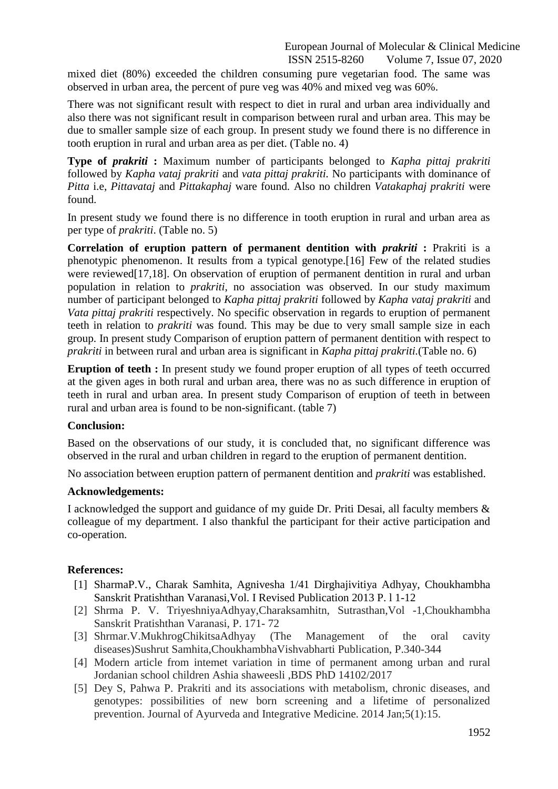mixed diet (80%) exceeded the children consuming pure vegetarian food. The same was observed in urban area, the percent of pure veg was 40% and mixed veg was 60%.

There was not significant result with respect to diet in rural and urban area individually and also there was not significant result in comparison between rural and urban area. This may be due to smaller sample size of each group. In present study we found there is no difference in tooth eruption in rural and urban area as per diet. (Table no. 4)

**Type of** *prakriti* **:** Maximum number of participants belonged to *Kapha pittaj prakriti*  followed by *Kapha vataj prakriti* and *vata pittaj prakriti.* No participants with dominance of *Pitta* i.e, *Pittavataj* and *Pittakaphaj* ware found. Also no children *Vatakaphaj prakriti* were found.

In present study we found there is no difference in tooth eruption in rural and urban area as per type of *prakriti*. (Table no. 5)

**Correlation of eruption pattern of permanent dentition with** *prakriti* **:** Prakriti is a phenotypic phenomenon. It results from a typical genotype.[16] Few of the related studies were reviewed<sup>[17,18]</sup>. On observation of eruption of permanent dentition in rural and urban population in relation to *prakriti*, no association was observed. In our study maximum number of participant belonged to *Kapha pittaj prakriti* followed by *Kapha vataj prakriti* and *Vata pittaj prakriti* respectively. No specific observation in regards to eruption of permanent teeth in relation to *prakriti* was found. This may be due to very small sample size in each group. In present study Comparison of eruption pattern of permanent dentition with respect to *prakriti* in between rural and urban area is significant in *Kapha pittaj prakriti.*(Table no. 6)

**Eruption of teeth :** In present study we found proper eruption of all types of teeth occurred at the given ages in both rural and urban area, there was no as such difference in eruption of teeth in rural and urban area. In present study Comparison of eruption of teeth in between rural and urban area is found to be non-significant. (table 7)

# **Conclusion:**

Based on the observations of our study, it is concluded that, no significant difference was observed in the rural and urban children in regard to the eruption of permanent dentition.

No association between eruption pattern of permanent dentition and *prakriti* was established.

#### **Acknowledgements:**

I acknowledged the support and guidance of my guide Dr. Priti Desai, all faculty members & colleague of my department. I also thankful the participant for their active participation and co-operation.

# **References:**

- [1] SharmaP.V., Charak Samhita, Agnivesha 1/41 Dirghajivitiya Adhyay, Choukhambha Sanskrit Pratishthan Varanasi,Vol. I Revised Publication 2013 P. l 1-12
- [2] Shrma P. V. TriyeshniyaAdhyay,Charaksamhitn, Sutrasthan,Vol -1,Choukhambha Sanskrit Pratishthan Varanasi, P. 171- 72
- [3] Shrmar.V.MukhrogChikitsaAdhyay (The Management of the oral cavity diseases)Sushrut Samhita,ChoukhambhaVishvabharti Publication, P.340-344
- [4] Modern article from intemet variation in time of permanent among urban and rural Jordanian school children Ashia shaweesli ,BDS PhD 14102/2017
- [5] Dey S, Pahwa P. Prakriti and its associations with metabolism, chronic diseases, and genotypes: possibilities of new born screening and a lifetime of personalized prevention. Journal of Ayurveda and Integrative Medicine. 2014 Jan;5(1):15.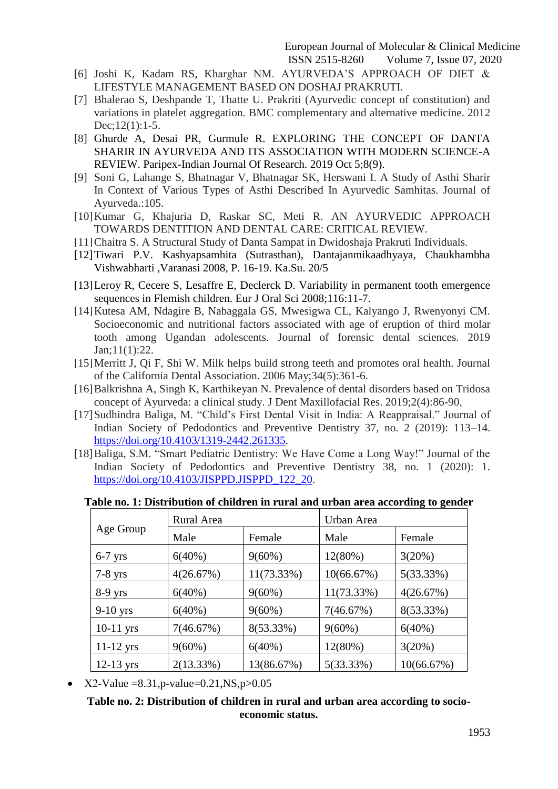- [6] Joshi K, Kadam RS, Kharghar NM. AYURVEDA'S APPROACH OF DIET & LIFESTYLE MANAGEMENT BASED ON DOSHAJ PRAKRUTI.
- [7] Bhalerao S, Deshpande T, Thatte U. Prakriti (Ayurvedic concept of constitution) and variations in platelet aggregation. BMC complementary and alternative medicine. 2012 Dec;12(1):1-5.
- [8] Ghurde A, Desai PR, Gurmule R. EXPLORING THE CONCEPT OF DANTA SHARIR IN AYURVEDA AND ITS ASSOCIATION WITH MODERN SCIENCE-A REVIEW. Paripex-Indian Journal Of Research. 2019 Oct 5;8(9).
- [9] Soni G, Lahange S, Bhatnagar V, Bhatnagar SK, Herswani I. A Study of Asthi Sharir In Context of Various Types of Asthi Described In Ayurvedic Samhitas. Journal of Ayurveda.:105.
- [10]Kumar G, Khajuria D, Raskar SC, Meti R. AN AYURVEDIC APPROACH TOWARDS DENTITION AND DENTAL CARE: CRITICAL REVIEW.
- [11]Chaitra S. A Structural Study of Danta Sampat in Dwidoshaja Prakruti Individuals.
- [12]Tiwari P.V. Kashyapsamhita (Sutrasthan), Dantajanmikaadhyaya, Chaukhambha Vishwabharti ,Varanasi 2008, P. 16-19. Ka.Su. 20/5
- [13] Leroy R, Cecere S, Lesaffre E, Declerck D. Variability in permanent tooth emergence sequences in Flemish children. Eur J Oral Sci 2008;116:11-7.
- [14]Kutesa AM, Ndagire B, Nabaggala GS, Mwesigwa CL, Kalyango J, Rwenyonyi CM. Socioeconomic and nutritional factors associated with age of eruption of third molar tooth among Ugandan adolescents. Journal of forensic dental sciences. 2019 Jan;11(1):22.
- [15]Merritt J, Qi F, Shi W. Milk helps build strong teeth and promotes oral health. Journal of the California Dental Association. 2006 May;34(5):361-6.
- [16]Balkrishna A, Singh K, Karthikeyan N. Prevalence of dental disorders based on Tridosa concept of Ayurveda: a clinical study. J Dent Maxillofacial Res. 2019;2(4):86-90.
- [17]Sudhindra Baliga, M. "Child's First Dental Visit in India: A Reappraisal." Journal of Indian Society of Pedodontics and Preventive Dentistry 37, no. 2 (2019): 113–14. [https://doi.org/10.4103/1319-2442.261335.](https://doi.org/10.4103/1319-2442.261335)
- [18]Baliga, S.M. "Smart Pediatric Dentistry: We Have Come a Long Way!" Journal of the Indian Society of Pedodontics and Preventive Dentistry 38, no. 1 (2020): 1. [https://doi.org/10.4103/JISPPD.JISPPD\\_122\\_20.](https://doi.org/10.4103/JISPPD.JISPPD_122_20)

|  | Table no. 1: Distribution of children in rural and urban area according to gender |  |  |  |  |  |  |
|--|-----------------------------------------------------------------------------------|--|--|--|--|--|--|
|  |                                                                                   |  |  |  |  |  |  |

|             | Rural Area   |               | Urban Area |            |  |  |
|-------------|--------------|---------------|------------|------------|--|--|
| Age Group   | Male         | Female        | Male       | Female     |  |  |
| $6-7$ yrs   | 6(40%)       | $9(60\%)$     | $12(80\%)$ | 3(20%)     |  |  |
| $7-8$ yrs   | 4(26.67%)    | $11(73.33\%)$ | 10(66.67%) | 5(33.33%)  |  |  |
| $8-9$ yrs   | $6(40\%)$    | $9(60\%)$     | 11(73.33%) | 4(26.67%)  |  |  |
| $9-10$ yrs  | $6(40\%)$    | $9(60\%)$     | 7(46.67%)  | 8(53.33%)  |  |  |
| $10-11$ yrs | 7(46.67%)    | 8(53.33%)     | $9(60\%)$  | $6(40\%)$  |  |  |
| $11-12$ yrs | $9(60\%)$    | 6(40%)        | $12(80\%)$ | 3(20%)     |  |  |
| $12-13$ yrs | $2(13.33\%)$ | 13(86.67%)    | 5(33.33%)  | 10(66.67%) |  |  |

• X2-Value = 8.31, p-value =  $0.21$ , NS, p $> 0.05$ 

# **Table no. 2: Distribution of children in rural and urban area according to socioeconomic status.**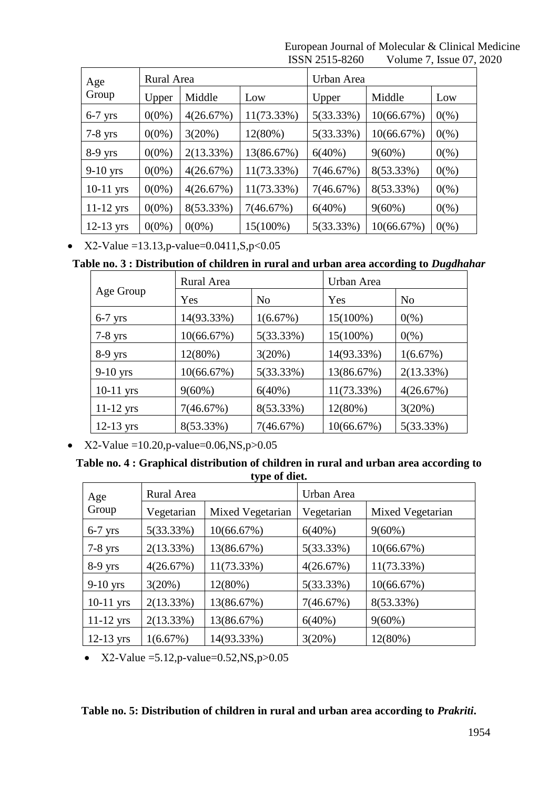| Age         | <b>Rural Area</b> |           |            | Urban Area |            |         |
|-------------|-------------------|-----------|------------|------------|------------|---------|
| Group       | Upper             | Middle    | Low        | Upper      | Middle     | Low     |
| $6-7$ yrs   | $0(0\%)$          | 4(26.67%) | 11(73.33%) | 5(33.33%)  | 10(66.67%) | $0\%$ ) |
| $7-8$ yrs   | $0(0\%)$          | 3(20%)    | $12(80\%)$ | 5(33.33%)  | 10(66.67%) | $0\%$ ) |
| $8-9$ yrs   | $0(0\%)$          | 2(13.33%) | 13(86.67%) | $6(40\%)$  | $9(60\%)$  | $0\%$ ) |
| $9-10$ yrs  | $0(0\%)$          | 4(26.67%) | 11(73.33%) | 7(46.67%)  | 8(53.33%)  | $0\%$ ) |
| $10-11$ yrs | $0(0\%)$          | 4(26.67%) | 11(73.33%) | 7(46.67%)  | 8(53.33%)  | $0\%$ ) |
| $11-12$ yrs | $0(0\%)$          | 8(53.33%) | 7(46.67%)  | 6(40%)     | $9(60\%)$  | $0\%$ ) |
| $12-13$ yrs | $0(0\%)$          | $0(0\%)$  | 15(100%)   | 5(33.33%)  | 10(66.67%) | $0\%$ ) |

• X2-Value =13.13, p-value= $0.0411$ , S, p< $0.05$ 

**Table no. 3 : Distribution of children in rural and urban area according to** *Dugdhahar*

|             | Rural Area |                | Urban Area |                |  |  |
|-------------|------------|----------------|------------|----------------|--|--|
| Age Group   | Yes        | N <sub>0</sub> | Yes        | N <sub>0</sub> |  |  |
| $6-7$ yrs   | 14(93.33%) | 1(6.67%)       | 15(100%)   | $0\%$ )        |  |  |
| $7-8$ yrs   | 10(66.67%) | 5(33.33%)      | 15(100%)   | $0\%$ )        |  |  |
| $8-9$ yrs   | 12(80%)    | 3(20%)         | 14(93.33%) | 1(6.67%)       |  |  |
| $9-10$ yrs  | 10(66.67%) | 5(33.33%)      | 13(86.67%) | 2(13.33%)      |  |  |
| $10-11$ yrs | $9(60\%)$  | $6(40\%)$      | 11(73.33%) | 4(26.67%)      |  |  |
| $11-12$ yrs | 7(46.67%)  | 8(53.33%)      | 12(80%)    | 3(20%)         |  |  |
| $12-13$ yrs | 8(53.33%)  | 7(46.67%)      | 10(66.67%) | 5(33.33%)      |  |  |

• X2-Value =10.20, p-value =  $0.06$ , NS, p >  $0.05$ 

**Table no. 4 : Graphical distribution of children in rural and urban area according to type of diet.**

| Age         | <b>Rural Area</b> |                  | Urban Area |                  |  |
|-------------|-------------------|------------------|------------|------------------|--|
| Group       | Vegetarian        | Mixed Vegetarian | Vegetarian | Mixed Vegetarian |  |
| $6-7$ yrs   | 5(33.33%)         | 10(66.67%)       | $6(40\%)$  | $9(60\%)$        |  |
| $7-8$ yrs   | 2(13.33%)         | 13(86.67%)       | 5(33.33%)  | 10(66.67%)       |  |
| $8-9$ yrs   | 4(26.67%)         | 11(73.33%)       | 4(26.67%)  | 11(73.33%)       |  |
| $9-10$ yrs  | 3(20%)            | 12(80%)          | 5(33.33%)  | 10(66.67%)       |  |
| $10-11$ yrs | 2(13.33%)         | 13(86.67%)       | 7(46.67%)  | 8(53.33%)        |  |
| $11-12$ yrs | 2(13.33%)         | 13(86.67%)       | $6(40\%)$  | $9(60\%)$        |  |
| $12-13$ yrs | 1(6.67%)          | 14(93.33%)       | 3(20%)     | 12(80%)          |  |

• X2-Value =  $5.12$ ,  $p$ -value =  $0.52$ ,  $NS$ ,  $p > 0.05$ 

**Table no. 5: Distribution of children in rural and urban area according to** *Prakriti***.**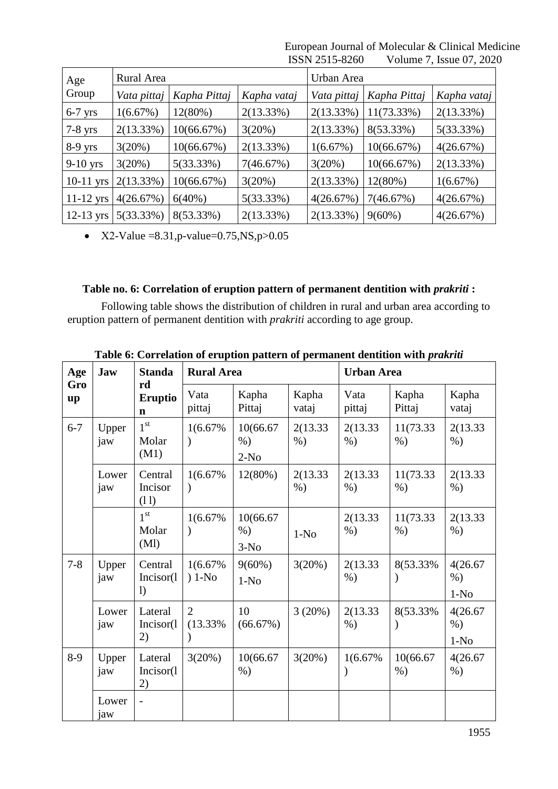| Age         | Rural Area  |              |              | Urban Area  |               |              |  |
|-------------|-------------|--------------|--------------|-------------|---------------|--------------|--|
| Group       | Vata pittaj | Kapha Pittaj | Kapha vataj  | Vata pittaj | Kapha Pittaj  | Kapha vataj  |  |
| $6-7$ yrs   | 1(6.67%)    | 12(80%)      | 2(13.33%)    | 2(13.33%)   | $11(73.33\%)$ | $2(13.33\%)$ |  |
| $7-8$ yrs   | 2(13.33%)   | 10(66.67%)   | 3(20%)       | 2(13.33%)   | 8(53.33%)     | 5(33.33%)    |  |
| $8-9$ yrs   | 3(20%)      | 10(66.67%)   | $2(13.33\%)$ | 1(6.67%)    | 10(66.67%)    | 4(26.67%)    |  |
| $9-10$ yrs  | 3(20%)      | 5(33.33%)    | 7(46.67%)    | 3(20%)      | 10(66.67%)    | 2(13.33%)    |  |
| $10-11$ yrs | 2(13.33%)   | 10(66.67%)   | 3(20%)       | 2(13.33%)   | $12(80\%)$    | 1(6.67%)     |  |
| $11-12$ yrs | 4(26.67%)   | 6(40%)       | 5(33.33%)    | 4(26.67%)   | 7(46.67%)     | 4(26.67%)    |  |
| $12-13$ yrs | 5(33.33%)   | 8(53.33%)    | 2(13.33%)    | 2(13.33%)   | $9(60\%)$     | 4(26.67%)    |  |

• X2-Value =  $8.31$ , p-value =  $0.75$ , NS, p $> 0.05$ 

# **Table no. 6: Correlation of eruption pattern of permanent dentition with** *prakriti* **:**

Following table shows the distribution of children in rural and urban area according to eruption pattern of permanent dentition with *prakriti* according to age group.

| Age              | Jaw          | <b>Standa</b>                             | <b>Rural Area</b>         |                              |                   | <b>Urban Area</b> |                    |                             |
|------------------|--------------|-------------------------------------------|---------------------------|------------------------------|-------------------|-------------------|--------------------|-----------------------------|
| <b>Gro</b><br>up |              | rd<br><b>Eruptio</b><br>$\mathbf n$       | Vata<br>pittaj            | Kapha<br>Pittaj              | Kapha<br>vataj    | Vata<br>pittaj    | Kapha<br>Pittaj    | Kapha<br>vataj              |
| $6 - 7$          | Upper<br>jaw | 1 <sup>st</sup><br>Molar<br>(M1)          | 1(6.67%)                  | 10(66.67)<br>$%$ )<br>$2-N0$ | 2(13.33)<br>$%$ ) | 2(13.33)<br>$%$ ) | 11(73.33)<br>$%$ ) | 2(13.33)<br>$%$ )           |
|                  | Lower<br>jaw | Central<br>Incisor<br>(11)                | 1(6.67%)                  | $12(80\%)$                   | 2(13.33)<br>$%$ ) | 2(13.33)<br>$%$ ) | 11(73.33)<br>$%$ ) | 2(13.33)<br>$%$ )           |
|                  |              | 1 <sup>st</sup><br>Molar<br>(Ml)          | 1(6.67%)                  | 10(66.67<br>$\%$ )<br>$3-N0$ | $1-N0$            | 2(13.33)<br>$%$ ) | 11(73.33)<br>$%$ ) | 2(13.33)<br>$%$ )           |
| $7 - 8$          | Upper<br>jaw | Central<br>Incisor(1)<br>$\left( \right)$ | 1(6.67%)<br>$) 1-No$      | $9(60\%)$<br>$1-N0$          | 3(20%)            | 2(13.33)<br>$%$ ) | 8(53.33%)          | 4(26.67)<br>$%$ )<br>$1-N0$ |
|                  | Lower<br>jaw | Lateral<br>Incisor(1)<br>2)               | $\overline{2}$<br>(13.33% | 10<br>(66.67%)               | 3(20%)            | 2(13.33)<br>$%$ ) | 8(53.33%)          | 4(26.67<br>$%$ )<br>$1-N0$  |
| $8-9$            | Upper<br>jaw | Lateral<br>Incisor(1)<br>2)               | 3(20%)                    | 10(66.67<br>$%$ )            | 3(20%)            | 1(6.67%)          | 10(66.67<br>$%$ )  | 4(26.67)<br>$%$ )           |
|                  | Lower<br>jaw | $\blacksquare$                            |                           |                              |                   |                   |                    |                             |

**Table 6: Correlation of eruption pattern of permanent dentition with** *prakriti*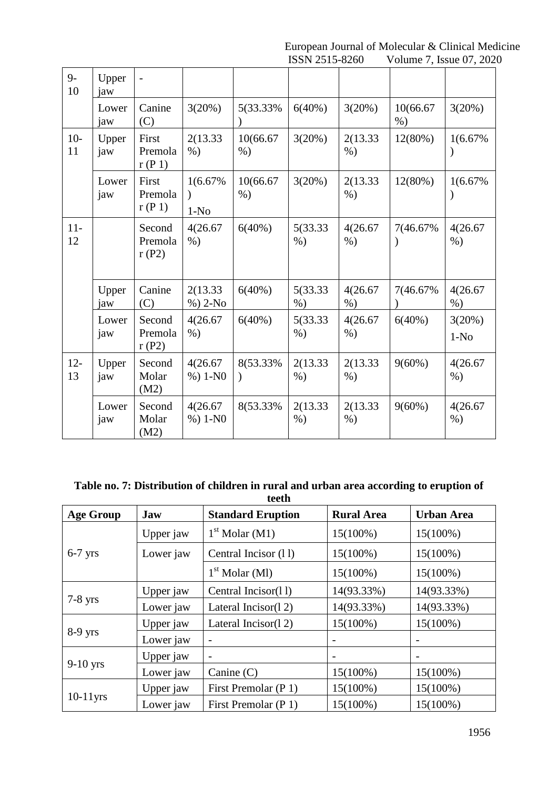European Journal of Molecular & Clinical Medicine<br>ISSN 2515-8260 Volume 7, Issue 07, 2020 Volume 7, Issue 07, 2020

| $9-$<br>10   | Upper<br>jaw |                              |                                     |                            |                   |                   |                   |                  |
|--------------|--------------|------------------------------|-------------------------------------|----------------------------|-------------------|-------------------|-------------------|------------------|
|              | Lower<br>jaw | Canine<br>(C)                | 3(20%)                              | 5(33.33%)                  | 6(40%)            | 3(20%)            | 10(66.67<br>$%$ ) | 3(20%)           |
| $10-$<br>11  | Upper<br>jaw | First<br>Premola<br>$r(P_1)$ | 2(13.33)<br>$%$ )                   | 10(66.67<br>$\%$ )         | 3(20%)            | 2(13.33)<br>$%$ ) | 12(80%)           | 1(6.67%)         |
|              | Lower<br>jaw | First<br>Premola<br>$r(P_1)$ | 1(6.67%)<br>$\mathcal{E}$<br>$1-N0$ | 10(66.67)<br>$%$ )         | 3(20%)            | 2(13.33)<br>$%$ ) | 12(80%)           | 1(6.67%)         |
| $11-$<br>12  |              | Second<br>Premola<br>r(P2)   | 4(26.67<br>$%$ )                    | 6(40%)                     | 5(33.33)<br>$%$ ) | 4(26.67<br>$%$ )  | 7(46.67%)         | 4(26.67<br>$%$ ) |
|              | Upper<br>jaw | Canine<br>(C)                | 2(13.33)<br>$%$ ) 2-No              | 6(40%)                     | 5(33.33)<br>$%$ ) | 4(26.67<br>$%$ )  | 7(46.67%)         | 4(26.67<br>$%$ ) |
|              | Lower<br>jaw | Second<br>Premola<br>r(P2)   | 4(26.67<br>$%$ )                    | 6(40%)                     | 5(33.33)<br>$%$ ) | 4(26.67<br>$%$ )  | 6(40%)            | 3(20%)<br>$1-N0$ |
| $12 -$<br>13 | Upper<br>jaw | Second<br>Molar<br>(M2)      | 4(26.67<br>$%$ ) 1-N <sub>0</sub>   | 8(53.33%)<br>$\mathcal{E}$ | 2(13.33)<br>$%$ ) | 2(13.33)<br>$%$ ) | $9(60\%)$         | 4(26.67<br>$%$ ) |
|              | Lower<br>jaw | Second<br>Molar<br>(M2)      | 4(26.67)<br>$%$ ) 1-N <sub>0</sub>  | 8(53.33%)                  | 2(13.33)<br>$%$ ) | 2(13.33)<br>$%$ ) | $9(60\%)$         | 4(26.67<br>$%$ ) |

# **Table no. 7: Distribution of children in rural and urban area according to eruption of**

| teeth            |           |                            |                   |                          |  |  |  |  |  |
|------------------|-----------|----------------------------|-------------------|--------------------------|--|--|--|--|--|
| <b>Age Group</b> | Jaw       | <b>Standard Eruption</b>   | <b>Rural Area</b> | <b>Urban Area</b>        |  |  |  |  |  |
|                  | Upper jaw | 1 <sup>st</sup> Molar (M1) | $15(100\%)$       | $15(100\%)$              |  |  |  |  |  |
| $6-7$ yrs        | Lower jaw | Central Incisor (11)       | 15(100%)          | 15(100%)                 |  |  |  |  |  |
|                  |           | 1 <sup>st</sup> Molar (Ml) | 15(100%)          | $15(100\%)$              |  |  |  |  |  |
| $7-8$ yrs        | Upper jaw | Central Incisor(1)         | 14(93.33%)        | 14(93.33%)               |  |  |  |  |  |
|                  | Lower jaw | Lateral Incisor $(1 2)$    | 14(93.33%)        | 14(93.33%)               |  |  |  |  |  |
|                  | Upper jaw | Lateral Incisor(12)        | 15(100%)          | $15(100\%)$              |  |  |  |  |  |
| $8-9$ yrs        | Lower jaw | $\overline{a}$             |                   |                          |  |  |  |  |  |
|                  | Upper jaw | $\overline{\phantom{0}}$   |                   | $\overline{\phantom{a}}$ |  |  |  |  |  |
| $9-10$ yrs       | Lower jaw | Canine $(C)$               | 15(100%)          | $15(100\%)$              |  |  |  |  |  |
| $10-11$ yrs      | Upper jaw | First Premolar (P 1)       | 15(100%)          | $15(100\%)$              |  |  |  |  |  |
|                  | Lower jaw | First Premolar (P 1)       | $15(100\%)$       | $15(100\%)$              |  |  |  |  |  |